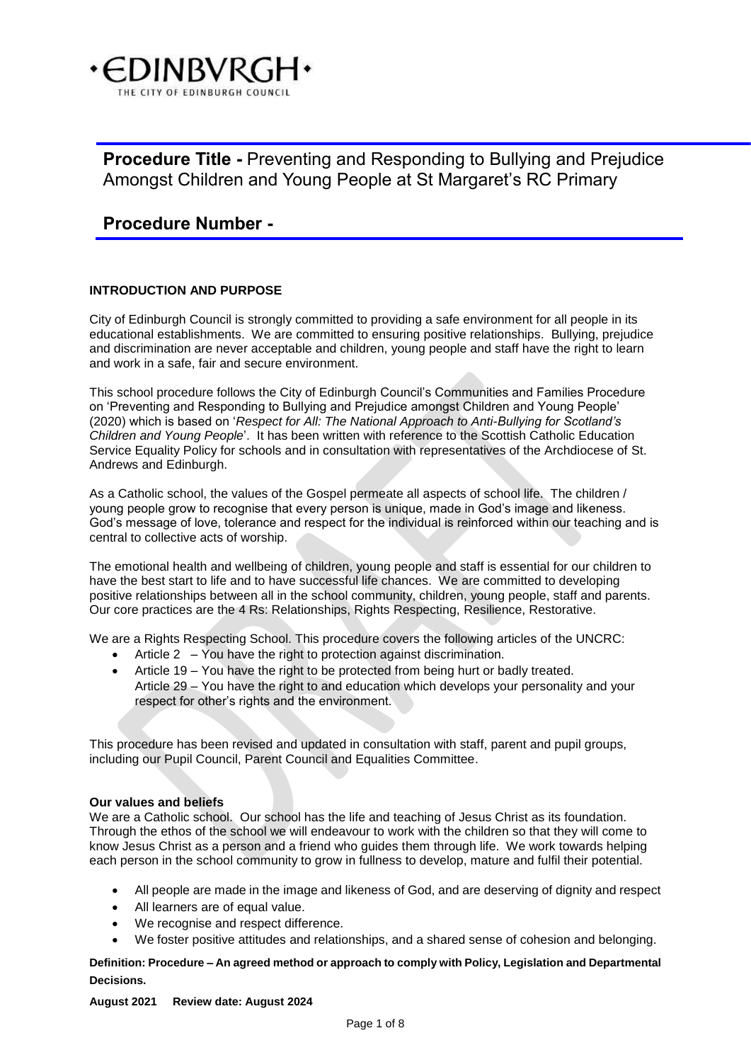

# **Procedure Number -**

# **INTRODUCTION AND PURPOSE**

City of Edinburgh Council is strongly committed to providing a safe environment for all people in its educational establishments. We are committed to ensuring positive relationships. Bullying, prejudice and discrimination are never acceptable and children, young people and staff have the right to learn and work in a safe, fair and secure environment.

This school procedure follows the City of Edinburgh Council's Communities and Families Procedure on 'Preventing and Responding to Bullying and Prejudice amongst Children and Young People' (2020) which is based on '*Respect for All: The National Approach to Anti-Bullying for Scotland's Children and Young People*'. It has been written with reference to the Scottish Catholic Education Service Equality Policy for schools and in consultation with representatives of the Archdiocese of St. Andrews and Edinburgh.

As a Catholic school, the values of the Gospel permeate all aspects of school life. The children / young people grow to recognise that every person is unique, made in God's image and likeness. God's message of love, tolerance and respect for the individual is reinforced within our teaching and is central to collective acts of worship.

The emotional health and wellbeing of children, young people and staff is essential for our children to have the best start to life and to have successful life chances. We are committed to developing positive relationships between all in the school community, children, young people, staff and parents. Our core practices are the 4 Rs: Relationships, Rights Respecting, Resilience, Restorative.

We are a Rights Respecting School. This procedure covers the following articles of the UNCRC:

- Article 2 You have the right to protection against discrimination.
- Article 19 You have the right to be protected from being hurt or badly treated. Article 29 – You have the right to and education which develops your personality and your respect for other's rights and the environment.

This procedure has been revised and updated in consultation with staff, parent and pupil groups, including our Pupil Council, Parent Council and Equalities Committee.

## **Our values and beliefs**

We are a Catholic school. Our school has the life and teaching of Jesus Christ as its foundation. Through the ethos of the school we will endeavour to work with the children so that they will come to know Jesus Christ as a person and a friend who guides them through life. We work towards helping each person in the school community to grow in fullness to develop, mature and fulfil their potential.

- All people are made in the image and likeness of God, and are deserving of dignity and respect
- All learners are of equal value.
- We recognise and respect difference.
- We foster positive attitudes and relationships, and a shared sense of cohesion and belonging.

**Definition: Procedure – An agreed method or approach to comply with Policy, Legislation and Departmental Decisions.** 

## **August 2021 Review date: August 2024**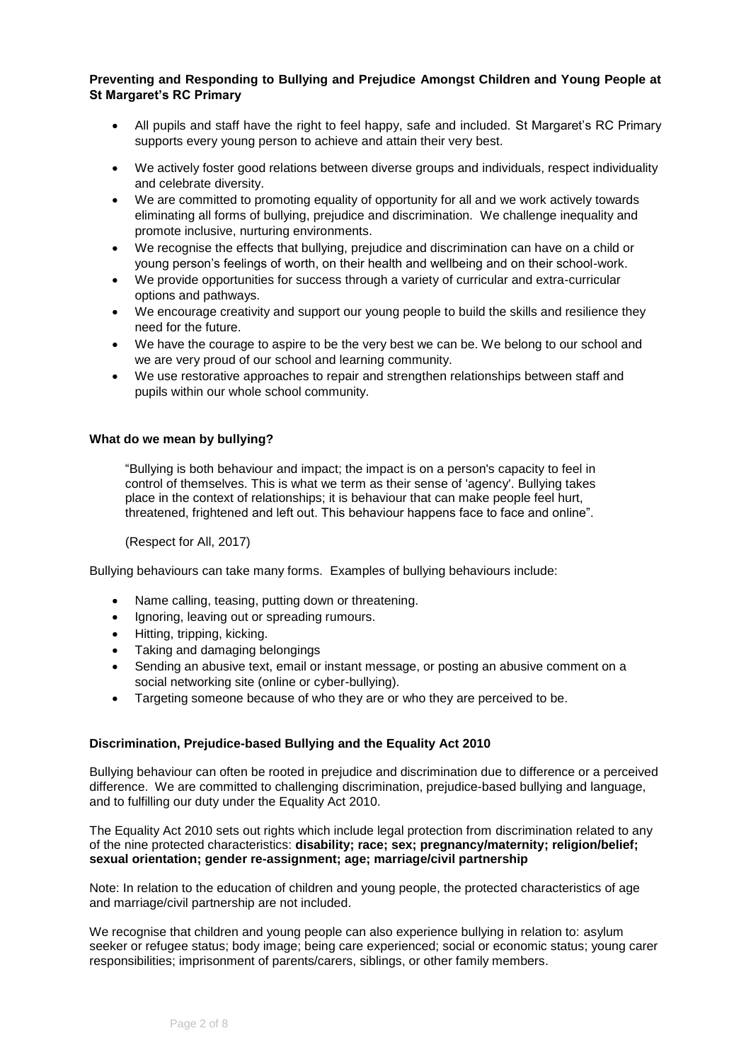- All pupils and staff have the right to feel happy, safe and included. St Margaret's RC Primary supports every young person to achieve and attain their very best.
- We actively foster good relations between diverse groups and individuals, respect individuality and celebrate diversity.
- We are committed to promoting equality of opportunity for all and we work actively towards eliminating all forms of bullying, prejudice and discrimination. We challenge inequality and promote inclusive, nurturing environments.
- We recognise the effects that bullying, prejudice and discrimination can have on a child or young person's feelings of worth, on their health and wellbeing and on their school-work.
- We provide opportunities for success through a variety of curricular and extra-curricular options and pathways.
- We encourage creativity and support our young people to build the skills and resilience they need for the future.
- We have the courage to aspire to be the very best we can be. We belong to our school and we are very proud of our school and learning community.
- We use restorative approaches to repair and strengthen relationships between staff and pupils within our whole school community.

# **What do we mean by bullying?**

"Bullying is both behaviour and impact; the impact is on a person's capacity to feel in control of themselves. This is what we term as their sense of 'agency'. Bullying takes place in the context of relationships; it is behaviour that can make people feel hurt, threatened, frightened and left out. This behaviour happens face to face and online".

(Respect for All, 2017)

Bullying behaviours can take many forms. Examples of bullying behaviours include:

- Name calling, teasing, putting down or threatening.
- Ignoring, leaving out or spreading rumours.
- Hitting, tripping, kicking.
- Taking and damaging belongings
- Sending an abusive text, email or instant message, or posting an abusive comment on a social networking site (online or cyber-bullying).
- Targeting someone because of who they are or who they are perceived to be.

## **Discrimination, Prejudice-based Bullying and the Equality Act 2010**

Bullying behaviour can often be rooted in prejudice and discrimination due to difference or a perceived difference. We are committed to challenging discrimination, prejudice-based bullying and language, and to fulfilling our duty under the Equality Act 2010.

The Equality Act 2010 sets out rights which include legal protection from discrimination related to any of the nine protected characteristics: **disability; race; sex; pregnancy/maternity; religion/belief; sexual orientation; gender re-assignment; age; marriage/civil partnership**

Note: In relation to the education of children and young people, the protected characteristics of age and marriage/civil partnership are not included.

We recognise that children and young people can also experience bullying in relation to: asylum seeker or refugee status; body image; being care experienced; social or economic status; young carer responsibilities; imprisonment of parents/carers, siblings, or other family members.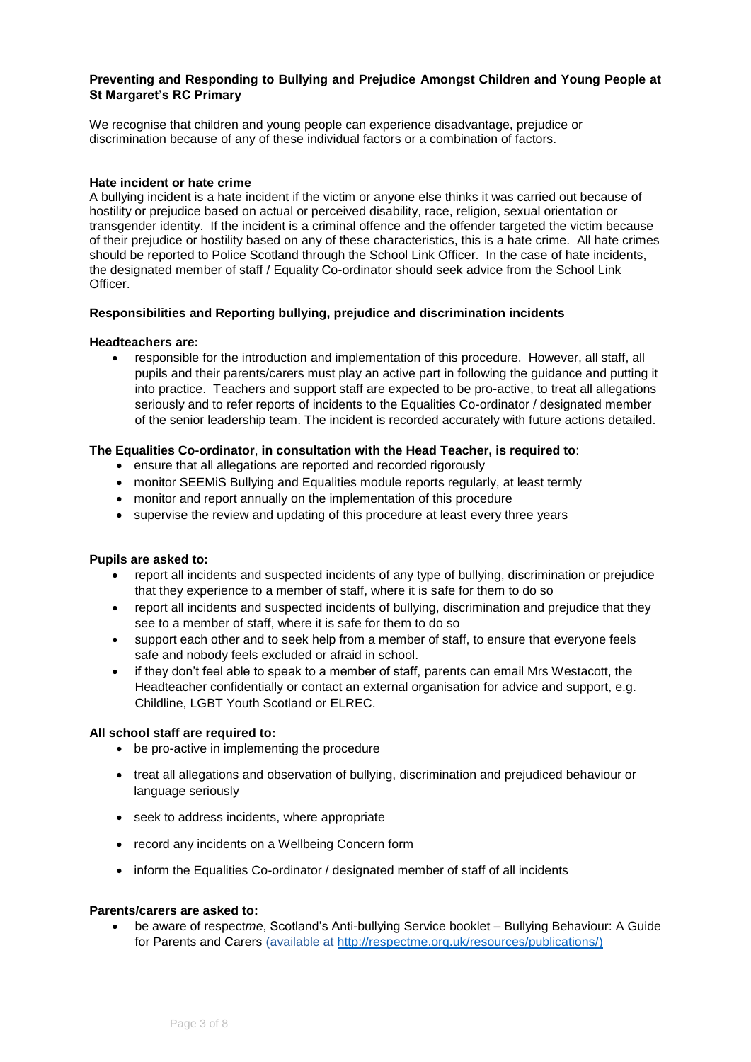We recognise that children and young people can experience disadvantage, prejudice or discrimination because of any of these individual factors or a combination of factors.

## **Hate incident or hate crime**

A bullying incident is a hate incident if the victim or anyone else thinks it was carried out because of hostility or prejudice based on actual or perceived disability, race, religion, sexual orientation or transgender identity. If the incident is a criminal offence and the offender targeted the victim because of their prejudice or hostility based on any of these characteristics, this is a hate crime. All hate crimes should be reported to Police Scotland through the School Link Officer. In the case of hate incidents, the designated member of staff / Equality Co-ordinator should seek advice from the School Link Officer.

# **Responsibilities and Reporting bullying, prejudice and discrimination incidents**

## **Headteachers are:**

• responsible for the introduction and implementation of this procedure. However, all staff, all pupils and their parents/carers must play an active part in following the guidance and putting it into practice. Teachers and support staff are expected to be pro-active, to treat all allegations seriously and to refer reports of incidents to the Equalities Co-ordinator / designated member of the senior leadership team. The incident is recorded accurately with future actions detailed.

# **The Equalities Co-ordinator**, **in consultation with the Head Teacher, is required to**:

- ensure that all allegations are reported and recorded rigorously
- monitor SEEMiS Bullying and Equalities module reports regularly, at least termly
- monitor and report annually on the implementation of this procedure
- supervise the review and updating of this procedure at least every three years

## **Pupils are asked to:**

- report all incidents and suspected incidents of any type of bullying, discrimination or prejudice that they experience to a member of staff, where it is safe for them to do so
- report all incidents and suspected incidents of bullying, discrimination and prejudice that they see to a member of staff, where it is safe for them to do so
- support each other and to seek help from a member of staff, to ensure that everyone feels safe and nobody feels excluded or afraid in school.
- if they don't feel able to speak to a member of staff, parents can email Mrs Westacott, the Headteacher confidentially or contact an external organisation for advice and support, e.g. Childline, LGBT Youth Scotland or ELREC.

## **All school staff are required to:**

- be pro-active in implementing the procedure
- treat all allegations and observation of bullying, discrimination and prejudiced behaviour or language seriously
- seek to address incidents, where appropriate
- record any incidents on a Wellbeing Concern form
- inform the Equalities Co-ordinator / designated member of staff of all incidents

## **Parents/carers are asked to:**

• be aware of respect*me*, Scotland's Anti-bullying Service booklet – Bullying Behaviour: A Guide for Parents and Carers (available at [http://respectme.org.uk/resources/publications/\)](http://respectme.org.uk/resources/publications/)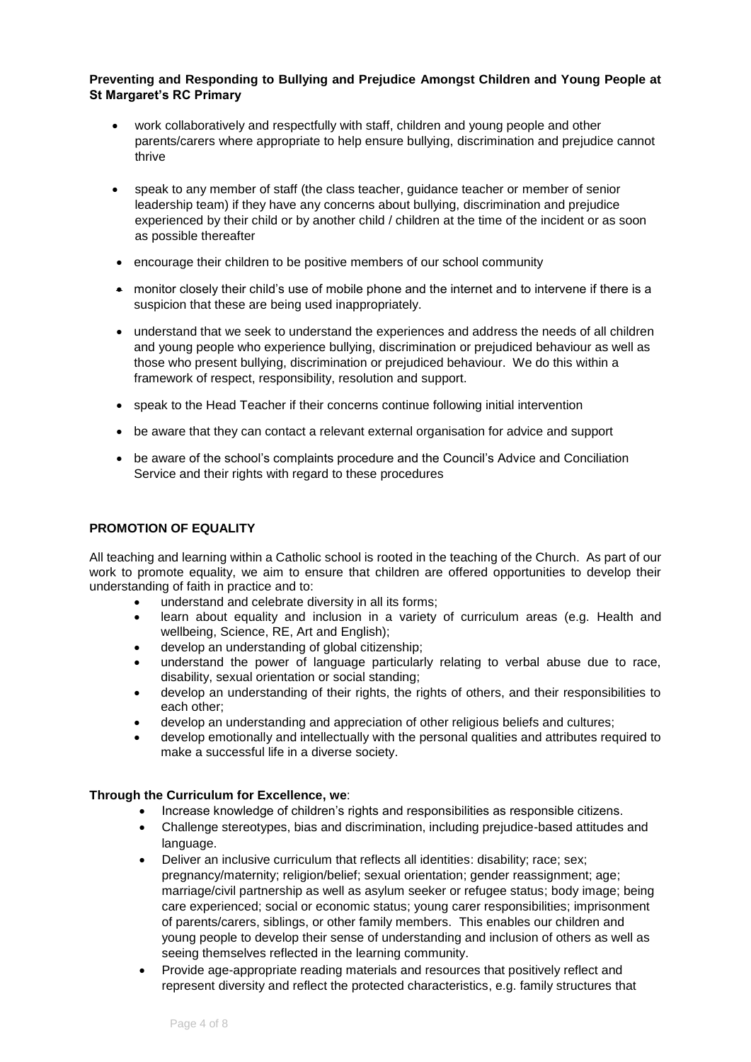- work collaboratively and respectfully with staff, children and young people and other parents/carers where appropriate to help ensure bullying, discrimination and prejudice cannot thrive
- speak to any member of staff (the class teacher, guidance teacher or member of senior leadership team) if they have any concerns about bullying, discrimination and prejudice experienced by their child or by another child / children at the time of the incident or as soon as possible thereafter
- encourage their children to be positive members of our school community
- monitor closely their child's use of mobile phone and the internet and to intervene if there is a suspicion that these are being used inappropriately.
- understand that we seek to understand the experiences and address the needs of all children and young people who experience bullying, discrimination or prejudiced behaviour as well as those who present bullying, discrimination or prejudiced behaviour. We do this within a framework of respect, responsibility, resolution and support.
- speak to the Head Teacher if their concerns continue following initial intervention
- be aware that they can contact a relevant external organisation for advice and support
- be aware of the school's complaints procedure and the Council's Advice and Conciliation Service and their rights with regard to these procedures

# **PROMOTION OF EQUALITY**

All teaching and learning within a Catholic school is rooted in the teaching of the Church. As part of our work to promote equality, we aim to ensure that children are offered opportunities to develop their understanding of faith in practice and to:

- understand and celebrate diversity in all its forms:
- learn about equality and inclusion in a variety of curriculum areas (e.g. Health and wellbeing, Science, RE, Art and English);
- develop an understanding of global citizenship;
- understand the power of language particularly relating to verbal abuse due to race, disability, sexual orientation or social standing;
- develop an understanding of their rights, the rights of others, and their responsibilities to each other;
- develop an understanding and appreciation of other religious beliefs and cultures;
- develop emotionally and intellectually with the personal qualities and attributes required to make a successful life in a diverse society.

## **Through the Curriculum for Excellence, we**:

- Increase knowledge of children's rights and responsibilities as responsible citizens.
- Challenge stereotypes, bias and discrimination, including prejudice-based attitudes and language.
- Deliver an inclusive curriculum that reflects all identities: disability; race; sex; pregnancy/maternity; religion/belief; sexual orientation; gender reassignment; age; marriage/civil partnership as well as asylum seeker or refugee status; body image; being care experienced; social or economic status; young carer responsibilities; imprisonment of parents/carers, siblings, or other family members. This enables our children and young people to develop their sense of understanding and inclusion of others as well as seeing themselves reflected in the learning community.
- Provide age-appropriate reading materials and resources that positively reflect and represent diversity and reflect the protected characteristics, e.g. family structures that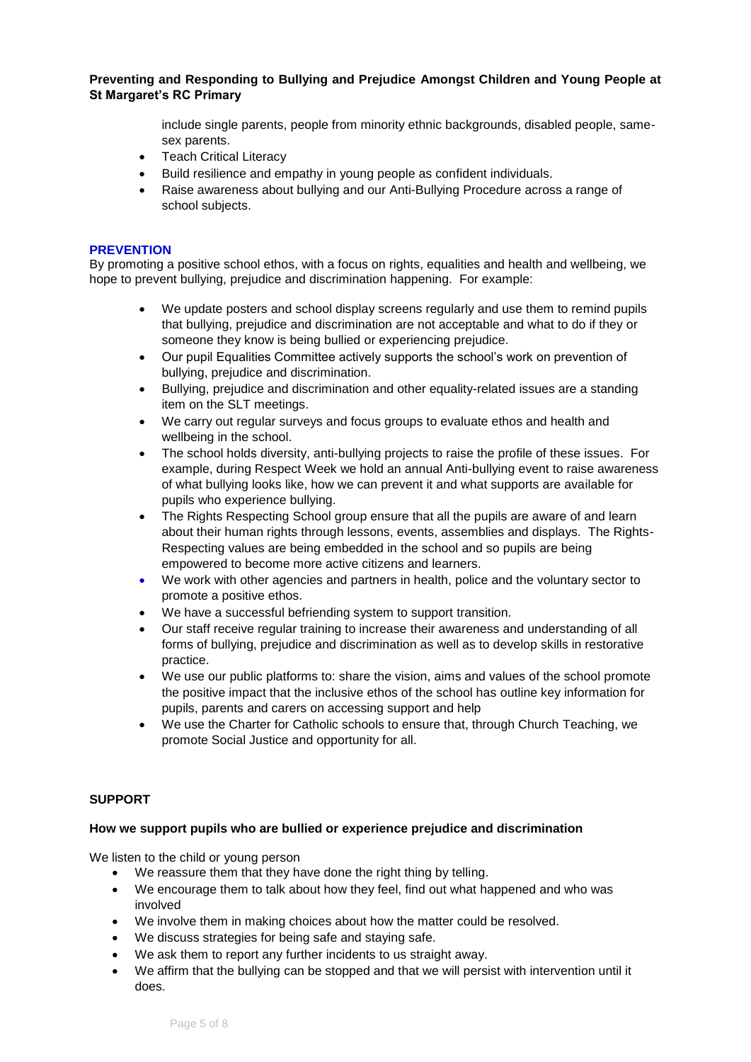> include single parents, people from minority ethnic backgrounds, disabled people, samesex parents.

- Teach Critical Literacy
- Build resilience and empathy in young people as confident individuals.
- Raise awareness about bullying and our Anti-Bullying Procedure across a range of school subjects.

#### **PREVENTION**

By promoting a positive school ethos, with a focus on rights, equalities and health and wellbeing, we hope to prevent bullying, prejudice and discrimination happening. For example:

- We update posters and school display screens regularly and use them to remind pupils that bullying, prejudice and discrimination are not acceptable and what to do if they or someone they know is being bullied or experiencing prejudice.
- Our pupil Equalities Committee actively supports the school's work on prevention of bullying, prejudice and discrimination.
- Bullying, prejudice and discrimination and other equality-related issues are a standing item on the SLT meetings.
- We carry out regular surveys and focus groups to evaluate ethos and health and wellbeing in the school.
- The school holds diversity, anti-bullying projects to raise the profile of these issues. For example, during Respect Week we hold an annual Anti-bullying event to raise awareness of what bullying looks like, how we can prevent it and what supports are available for pupils who experience bullying.
- The Rights Respecting School group ensure that all the pupils are aware of and learn about their human rights through lessons, events, assemblies and displays. The Rights-Respecting values are being embedded in the school and so pupils are being empowered to become more active citizens and learners.
- We work with other agencies and partners in health, police and the voluntary sector to promote a positive ethos.
- We have a successful befriending system to support transition.
- Our staff receive regular training to increase their awareness and understanding of all forms of bullying, prejudice and discrimination as well as to develop skills in restorative practice.
- We use our public platforms to: share the vision, aims and values of the school promote the positive impact that the inclusive ethos of the school has outline key information for pupils, parents and carers on accessing support and help
- We use the Charter for Catholic schools to ensure that, through Church Teaching, we promote Social Justice and opportunity for all.

## **SUPPORT**

## **How we support pupils who are bullied or experience prejudice and discrimination**

We listen to the child or young person

- We reassure them that they have done the right thing by telling.
- We encourage them to talk about how they feel, find out what happened and who was involved
- We involve them in making choices about how the matter could be resolved.
- We discuss strategies for being safe and staying safe.
- We ask them to report any further incidents to us straight away.
- We affirm that the bullying can be stopped and that we will persist with intervention until it does.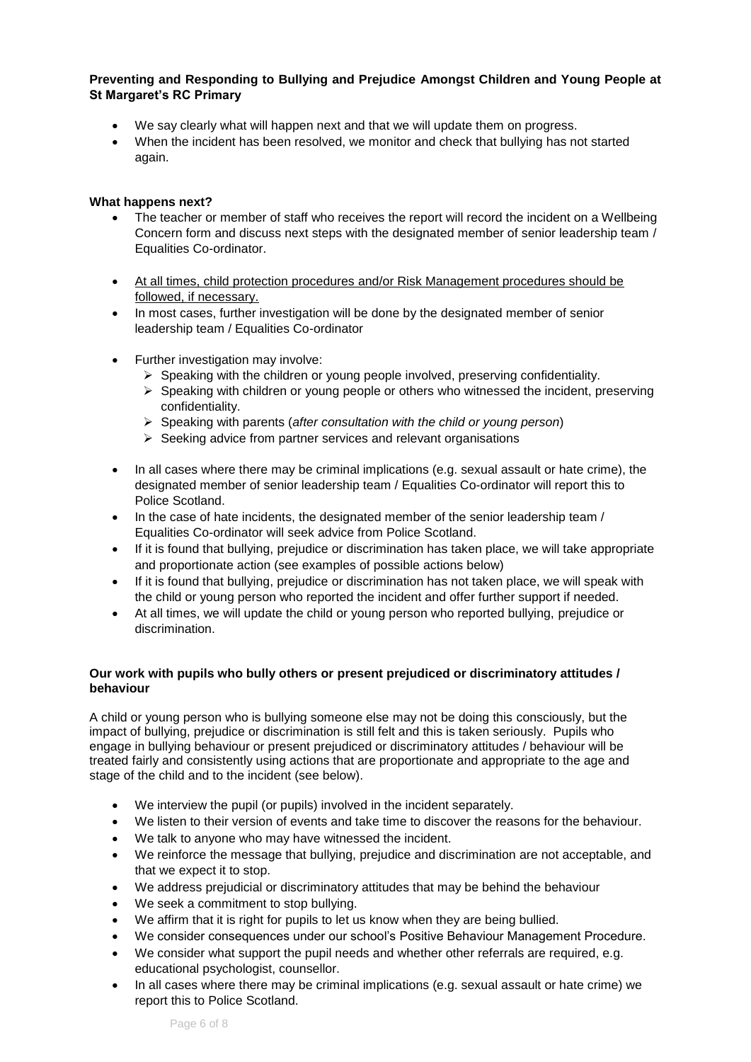- We say clearly what will happen next and that we will update them on progress.
- When the incident has been resolved, we monitor and check that bullying has not started again.

# **What happens next?**

- The teacher or member of staff who receives the report will record the incident on a Wellbeing Concern form and discuss next steps with the designated member of senior leadership team / Equalities Co-ordinator.
- At all times, child protection procedures and/or Risk Management procedures should be followed, if necessary.
- In most cases, further investigation will be done by the designated member of senior leadership team / Equalities Co-ordinator
- Further investigation may involve:
	- $\triangleright$  Speaking with the children or young people involved, preserving confidentiality.
	- $\triangleright$  Speaking with children or young people or others who witnessed the incident, preserving confidentiality.
	- ➢ Speaking with parents (*after consultation with the child or young person*)
	- ➢ Seeking advice from partner services and relevant organisations
- In all cases where there may be criminal implications (e.g. sexual assault or hate crime), the designated member of senior leadership team / Equalities Co-ordinator will report this to Police Scotland.
- In the case of hate incidents, the designated member of the senior leadership team / Equalities Co-ordinator will seek advice from Police Scotland.
- If it is found that bullying, prejudice or discrimination has taken place, we will take appropriate and proportionate action (see examples of possible actions below)
- If it is found that bullying, prejudice or discrimination has not taken place, we will speak with the child or young person who reported the incident and offer further support if needed.
- At all times, we will update the child or young person who reported bullying, prejudice or discrimination.

# **Our work with pupils who bully others or present prejudiced or discriminatory attitudes / behaviour**

A child or young person who is bullying someone else may not be doing this consciously, but the impact of bullying, prejudice or discrimination is still felt and this is taken seriously. Pupils who engage in bullying behaviour or present prejudiced or discriminatory attitudes / behaviour will be treated fairly and consistently using actions that are proportionate and appropriate to the age and stage of the child and to the incident (see below).

- We interview the pupil (or pupils) involved in the incident separately.
- We listen to their version of events and take time to discover the reasons for the behaviour.
- We talk to anyone who may have witnessed the incident.
- We reinforce the message that bullying, prejudice and discrimination are not acceptable, and that we expect it to stop.
- We address prejudicial or discriminatory attitudes that may be behind the behaviour
- We seek a commitment to stop bullying.
- We affirm that it is right for pupils to let us know when they are being bullied.
- We consider consequences under our school's Positive Behaviour Management Procedure.
- We consider what support the pupil needs and whether other referrals are required, e.g. educational psychologist, counsellor.
- In all cases where there may be criminal implications (e.g. sexual assault or hate crime) we report this to Police Scotland.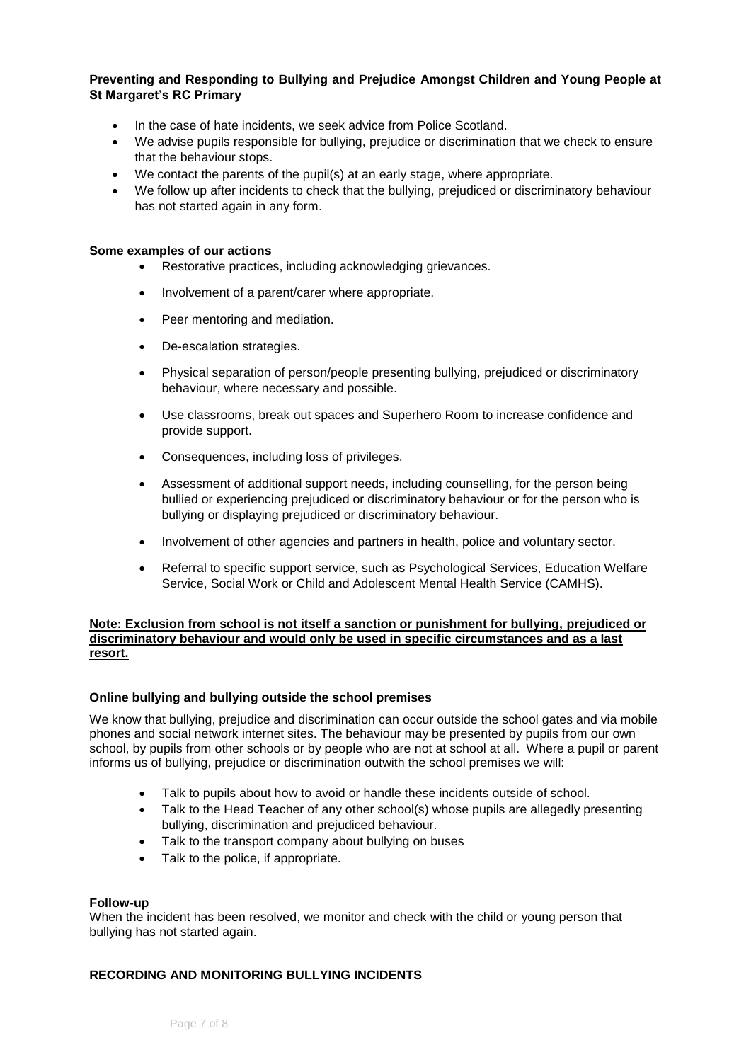- In the case of hate incidents, we seek advice from Police Scotland.
- We advise pupils responsible for bullying, prejudice or discrimination that we check to ensure that the behaviour stops.
- We contact the parents of the pupil(s) at an early stage, where appropriate.
- We follow up after incidents to check that the bullying, prejudiced or discriminatory behaviour has not started again in any form.

#### **Some examples of our actions**

- Restorative practices, including acknowledging grievances.
- Involvement of a parent/carer where appropriate.
- Peer mentoring and mediation.
- De-escalation strategies.
- Physical separation of person/people presenting bullying, prejudiced or discriminatory behaviour, where necessary and possible.
- Use classrooms, break out spaces and Superhero Room to increase confidence and provide support.
- Consequences, including loss of privileges.
- Assessment of additional support needs, including counselling, for the person being bullied or experiencing prejudiced or discriminatory behaviour or for the person who is bullying or displaying prejudiced or discriminatory behaviour.
- Involvement of other agencies and partners in health, police and voluntary sector.
- Referral to specific support service, such as Psychological Services, Education Welfare Service, Social Work or Child and Adolescent Mental Health Service (CAMHS).

#### **Note: Exclusion from school is not itself a sanction or punishment for bullying, prejudiced or discriminatory behaviour and would only be used in specific circumstances and as a last resort.**

## **Online bullying and bullying outside the school premises**

We know that bullying, prejudice and discrimination can occur outside the school gates and via mobile phones and social network internet sites. The behaviour may be presented by pupils from our own school, by pupils from other schools or by people who are not at school at all. Where a pupil or parent informs us of bullying, prejudice or discrimination outwith the school premises we will:

- Talk to pupils about how to avoid or handle these incidents outside of school.
- Talk to the Head Teacher of any other school(s) whose pupils are allegedly presenting bullying, discrimination and prejudiced behaviour.
- Talk to the transport company about bullying on buses
- Talk to the police, if appropriate.

## **Follow-up**

When the incident has been resolved, we monitor and check with the child or young person that bullying has not started again.

# **RECORDING AND MONITORING BULLYING INCIDENTS**